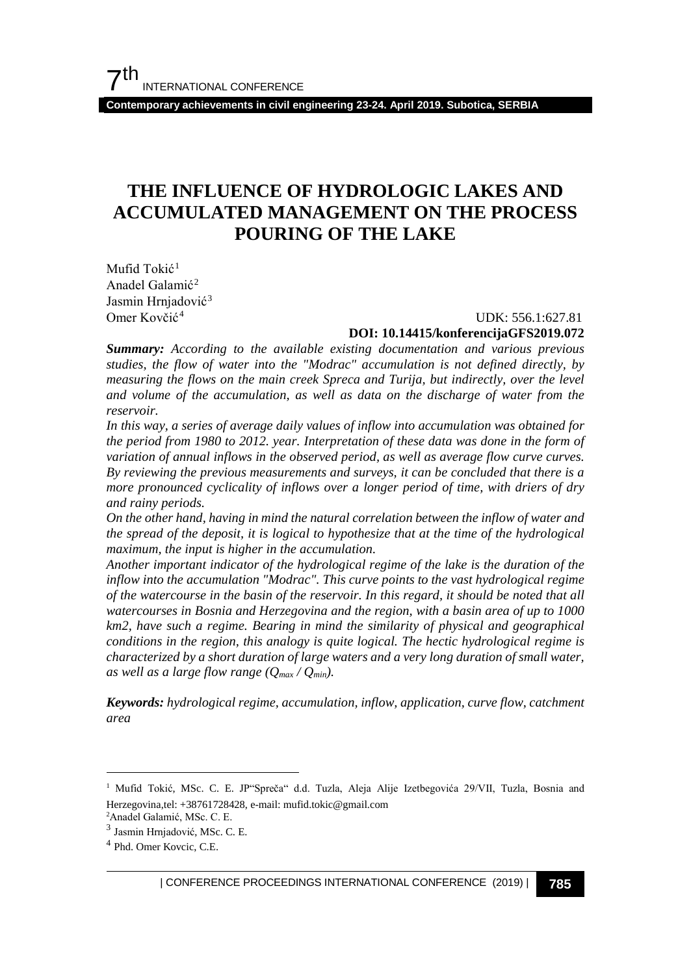**Contemporary achievements in civil engineering 23-24. April 2019. Subotica, SERBIA**

## **THE INFLUENCE OF HYDROLOGIC LAKES AND ACCUMULATED MANAGEMENT ON THE PROCESS POURING OF THE LAKE**

Mufid Tokić<sup>[1](#page-0-0)</sup> Anadel Galamić<sup>[2](#page-0-1)</sup> Jasmin Hrnjadović<sup>[3](#page-0-2)</sup> Omer Kovčić[4](#page-0-3)

#### UDK: 556.1:627.81 **DOI: 10.14415/konferencijaGFS2019.072**

*Summary: According to the available existing documentation and various previous studies, the flow of water into the "Modrac" accumulation is not defined directly, by measuring the flows on the main creek Spreca and Turija, but indirectly, over the level and volume of the accumulation, as well as data on the discharge of water from the reservoir.*

*In this way, a series of average daily values of inflow into accumulation was obtained for the period from 1980 to 2012. year. Interpretation of these data was done in the form of variation of annual inflows in the observed period, as well as average flow curve curves. By reviewing the previous measurements and surveys, it can be concluded that there is a more pronounced cyclicality of inflows over a longer period of time, with driers of dry and rainy periods.*

*On the other hand, having in mind the natural correlation between the inflow of water and the spread of the deposit, it is logical to hypothesize that at the time of the hydrological maximum, the input is higher in the accumulation.*

*Another important indicator of the hydrological regime of the lake is the duration of the inflow into the accumulation "Modrac". This curve points to the vast hydrological regime of the watercourse in the basin of the reservoir. In this regard, it should be noted that all watercourses in Bosnia and Herzegovina and the region, with a basin area of up to 1000 km2, have such a regime. Bearing in mind the similarity of physical and geographical conditions in the region, this analogy is quite logical. The hectic hydrological regime is characterized by a short duration of large waters and a very long duration of small water, as well as a large flow range (Qmax / Qmin).*

*Keywords: hydrological regime, accumulation, inflow, application, curve flow, catchment area*

<span id="page-0-0"></span> <sup>1</sup> Mufid Tokić, MSc. C. E. JP"Spreča" d.d. Tuzla, Aleja Alije Izetbegovića 29/VII, Tuzla, Bosnia and Herzegovina,tel: +38761728428, e-mail: mufid.tokic@gmail.com

<sup>2</sup> Anadel Galamić, MSc. C. E.

<span id="page-0-2"></span><span id="page-0-1"></span><sup>3</sup> Jasmin Hrnjadović, MSc. C. E.

<span id="page-0-3"></span><sup>4</sup> Phd. Omer Kovcic, C.E.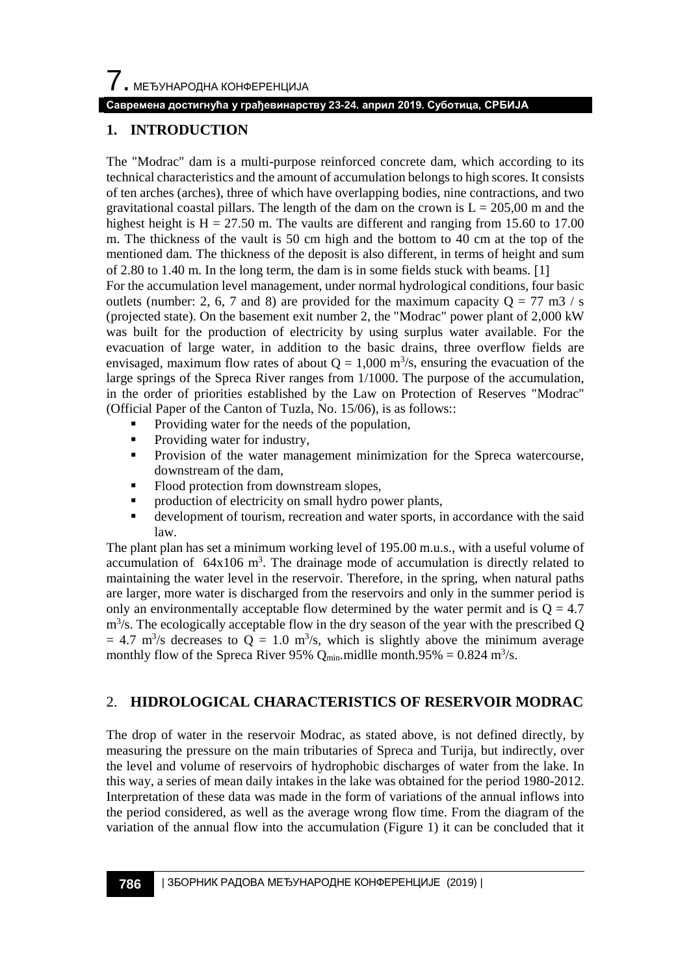$\overline{\phantom{a}}$ . МЕЂУНАРОДНА КОНФЕРЕНЦИЈА

#### **Савремена достигнућа у грађевинарству 23-24. април 2019. Суботица, СРБИЈА**

### **1. INTRODUCTION**

The "Modrac" dam is a multi-purpose reinforced concrete dam, which according to its technical characteristics and the amount of accumulation belongs to high scores. It consists of ten arches (arches), three of which have overlapping bodies, nine contractions, and two gravitational coastal pillars. The length of the dam on the crown is  $L = 205,00$  m and the highest height is  $H = 27.50$  m. The vaults are different and ranging from 15.60 to 17.00 m. The thickness of the vault is 50 cm high and the bottom to 40 cm at the top of the mentioned dam. The thickness of the deposit is also different, in terms of height and sum of 2.80 to 1.40 m. In the long term, the dam is in some fields stuck with beams. [1]

For the accumulation level management, under normal hydrological conditions, four basic outlets (number: 2, 6, 7 and 8) are provided for the maximum capacity  $Q = 77$  m3 / s (projected state). On the basement exit number 2, the "Modrac" power plant of 2,000 kW was built for the production of electricity by using surplus water available. For the evacuation of large water, in addition to the basic drains, three overflow fields are envisaged, maximum flow rates of about  $Q = 1,000$  m<sup>3</sup>/s, ensuring the evacuation of the large springs of the Spreca River ranges from 1/1000. The purpose of the accumulation, in the order of priorities established by the Law on Protection of Reserves "Modrac" (Official Paper of the Canton of Tuzla, No. 15/06), is as follows::

- Providing water for the needs of the population,
- Providing water for industry,
- **Provision of the water management minimization for the Spreca watercourse,** downstream of the dam,
- Flood protection from downstream slopes,
- production of electricity on small hydro power plants,
- development of tourism, recreation and water sports, in accordance with the said law.

The plant plan has set a minimum working level of 195.00 m.u.s., with a useful volume of accumulation of  $64x106$  m<sup>3</sup>. The drainage mode of accumulation is directly related to maintaining the water level in the reservoir. Therefore, in the spring, when natural paths are larger, more water is discharged from the reservoirs and only in the summer period is only an environmentally acceptable flow determined by the water permit and is  $Q = 4.7$  $m<sup>3</sup>/s$ . The ecologically acceptable flow in the dry season of the year with the prescribed Q  $= 4.7$  m<sup>3</sup>/s decreases to Q = 1.0 m<sup>3</sup>/s, which is slightly above the minimum average monthly flow of the Spreca River 95%  $Q_{min}$  midlle month.95% = 0.824 m<sup>3</sup>/s.

#### 2. **HIDROLOGICAL CHARACTERISTICS OF RESERVOIR MODRAC**

The drop of water in the reservoir Modrac, as stated above, is not defined directly, by measuring the pressure on the main tributaries of Spreca and Turija, but indirectly, over the level and volume of reservoirs of hydrophobic discharges of water from the lake. In this way, a series of mean daily intakes in the lake was obtained for the period 1980-2012. Interpretation of these data was made in the form of variations of the annual inflows into the period considered, as well as the average wrong flow time. From the diagram of the variation of the annual flow into the accumulation (Figure 1) it can be concluded that it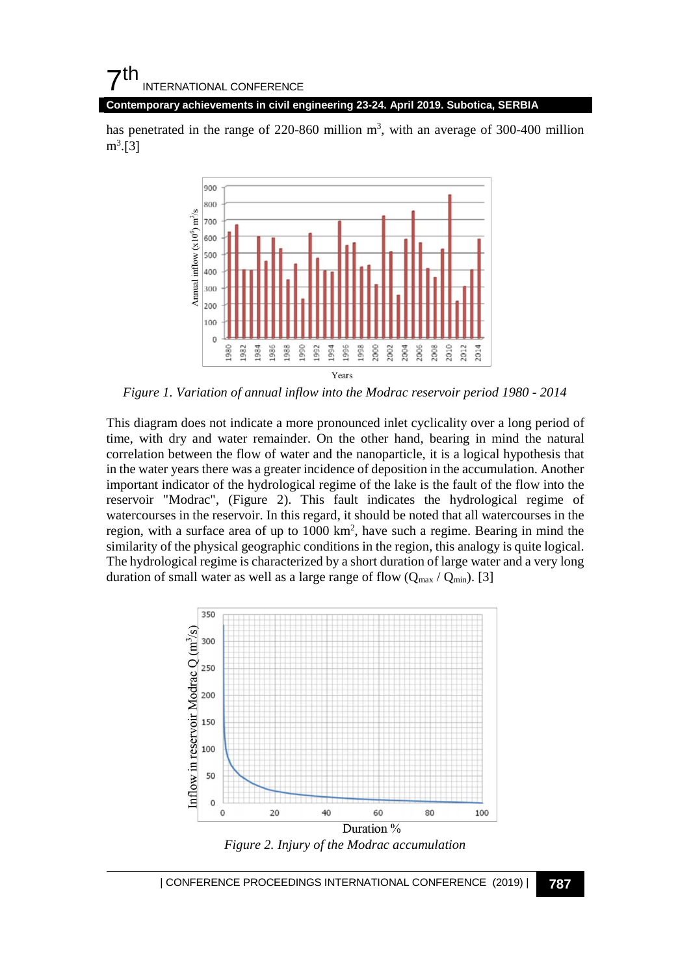### $\mathsf{\Sigma}^{\mathsf{th}}$ INTERNATIONAL CONFERENCE

#### **Contemporary achievements in civil engineering 23-24. April 2019. Subotica, SERBIA**

has penetrated in the range of  $220-860$  million m<sup>3</sup>, with an average of  $300-400$  million  $m^3$ [3]



*Figure 1. Variation of annual inflow into the Modrac reservoir period 1980 - 2014*

This diagram does not indicate a more pronounced inlet cyclicality over a long period of time, with dry and water remainder. On the other hand, bearing in mind the natural correlation between the flow of water and the nanoparticle, it is a logical hypothesis that in the water years there was a greater incidence of deposition in the accumulation. Another important indicator of the hydrological regime of the lake is the fault of the flow into the reservoir "Modrac", (Figure 2). This fault indicates the hydrological regime of watercourses in the reservoir. In this regard, it should be noted that all watercourses in the region, with a surface area of up to 1000 km<sup>2</sup>, have such a regime. Bearing in mind the similarity of the physical geographic conditions in the region, this analogy is quite logical. The hydrological regime is characterized by a short duration of large water and a very long duration of small water as well as a large range of flow  $(Q_{\text{max}} / Q_{\text{min}})$ . [3]



*Figure 2. Injury of the Modrac accumulation*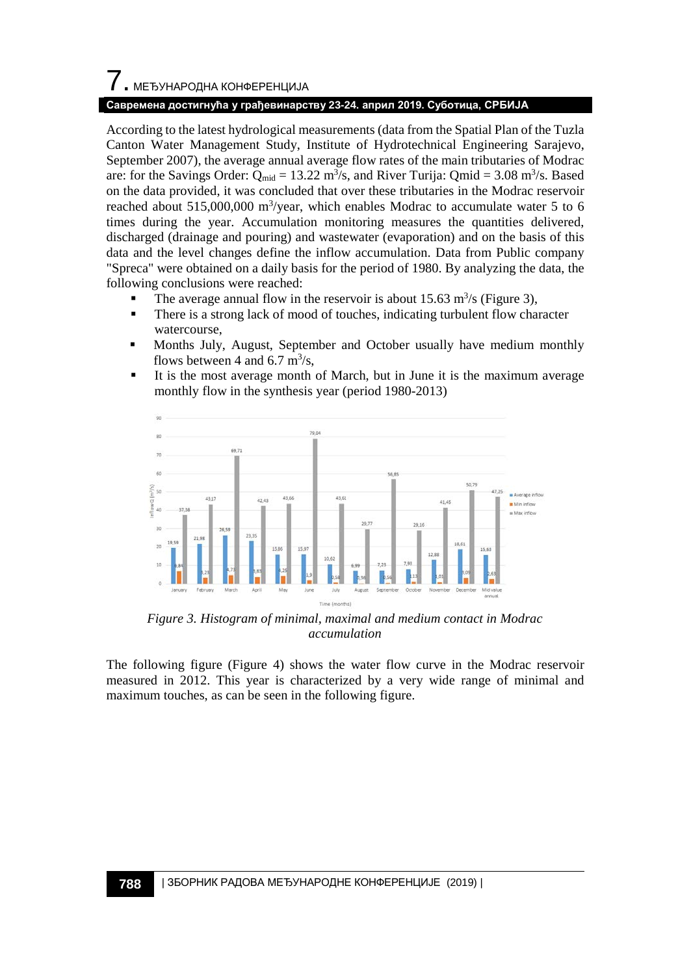# 7. МЕЂУНАРОДНА КОНФЕРЕНЦИЈА

#### **Савремена достигнућа у грађевинарству 23-24. април 2019. Суботица, СРБИЈА**

According to the latest hydrological measurements (data from the Spatial Plan of the Tuzla Canton Water Management Study, Institute of Hydrotechnical Engineering Sarajevo, September 2007), the average annual average flow rates of the main tributaries of Modrac are: for the Savings Order:  $Q_{mid} = 13.22 \text{ m}^3/\text{s}$ , and River Turija:  $Qmid = 3.08 \text{ m}^3/\text{s}$ . Based on the data provided, it was concluded that over these tributaries in the Modrac reservoir reached about 515,000,000 m<sup>3</sup>/year, which enables Modrac to accumulate water 5 to 6 times during the year. Accumulation monitoring measures the quantities delivered, discharged (drainage and pouring) and wastewater (evaporation) and on the basis of this data and the level changes define the inflow accumulation. Data from Public company "Spreca" were obtained on a daily basis for the period of 1980. By analyzing the data, the following conclusions were reached:

- The average annual flow in the reservoir is about  $15.63 \text{ m}^3/\text{s}$  (Figure 3),
- There is a strong lack of mood of touches, indicating turbulent flow character watercourse,
- Months July, August, September and October usually have medium monthly flows between 4 and 6.7  $\text{m}^3\text{/s}$ ,
- It is the most average month of March, but in June it is the maximum average monthly flow in the synthesis year (period 1980-2013)



*Figure 3. Histogram of minimal, maximal and medium contact in Modrac accumulation*

The following figure (Figure 4) shows the water flow curve in the Modrac reservoir measured in 2012. This year is characterized by a very wide range of minimal and maximum touches, as can be seen in the following figure.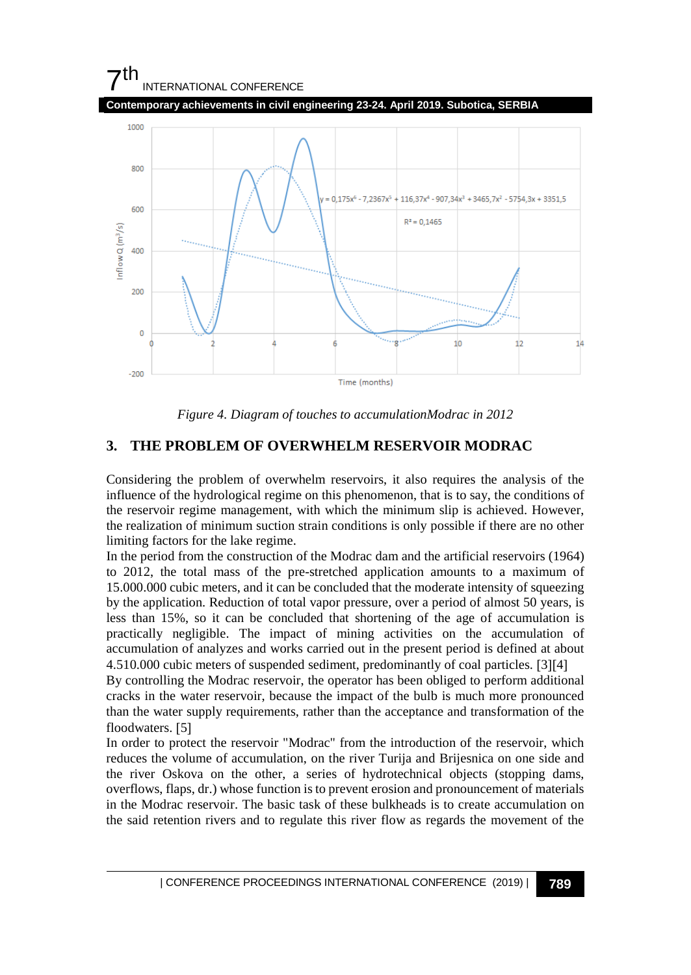## $7<sup>th</sup>$ INTERNATIONAL CONFERENCE **Contemporary achievements in civil engineering 23-24. April 2019. Subotica, SERBIA**  $1000$ 800  $0,175x^{6} - 7,2367x^{5} + 116,37x^{4} - 907,34x^{3} + 3465,7x^{2} - 5754,3x + 3351,5$ 600  $R^2 = 0.1465$  $lnf$ low $Q$   $(m<sup>3</sup>/s)$ 400 200  $\mathfrak{c}$ 6  $10$  $\overline{12}$  $14$  $-200$ Time (months)

*Figure 4. Diagram of touches to accumulationModrac in 2012*

## **3. THE PROBLEM OF OVERWHELM RESERVOIR MODRAC**

Considering the problem of overwhelm reservoirs, it also requires the analysis of the influence of the hydrological regime on this phenomenon, that is to say, the conditions of the reservoir regime management, with which the minimum slip is achieved. However, the realization of minimum suction strain conditions is only possible if there are no other limiting factors for the lake regime.

In the period from the construction of the Modrac dam and the artificial reservoirs (1964) to 2012, the total mass of the pre-stretched application amounts to a maximum of 15.000.000 cubic meters, and it can be concluded that the moderate intensity of squeezing by the application. Reduction of total vapor pressure, over a period of almost 50 years, is less than 15%, so it can be concluded that shortening of the age of accumulation is practically negligible. The impact of mining activities on the accumulation of accumulation of analyzes and works carried out in the present period is defined at about 4.510.000 cubic meters of suspended sediment, predominantly of coal particles. [3][4]

By controlling the Modrac reservoir, the operator has been obliged to perform additional cracks in the water reservoir, because the impact of the bulb is much more pronounced than the water supply requirements, rather than the acceptance and transformation of the floodwaters. [5]

In order to protect the reservoir "Modrac" from the introduction of the reservoir, which reduces the volume of accumulation, on the river Turija and Brijesnica on one side and the river Oskova on the other, a series of hydrotechnical objects (stopping dams, overflows, flaps, dr.) whose function is to prevent erosion and pronouncement of materials in the Modrac reservoir. The basic task of these bulkheads is to create accumulation on the said retention rivers and to regulate this river flow as regards the movement of the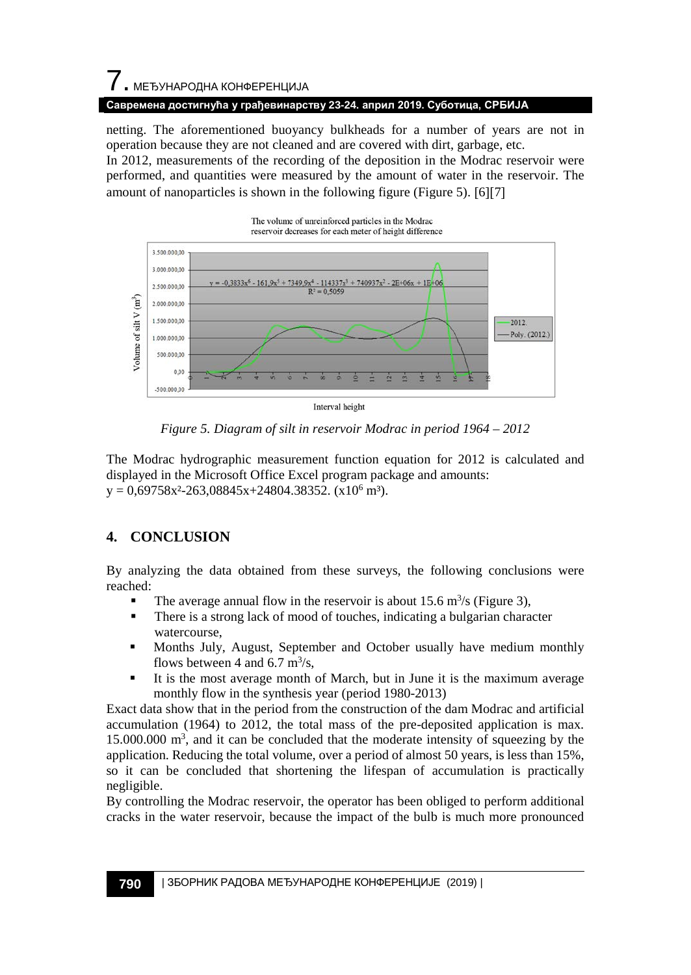## 7. МЕЂУНАРОДНА КОНФЕРЕНЦИЈА

#### **Савремена достигнућа у грађевинарству 23-24. април 2019. Суботица, СРБИЈА**

netting. The aforementioned buoyancy bulkheads for a number of years are not in operation because they are not cleaned and are covered with dirt, garbage, etc.

In 2012, measurements of the recording of the deposition in the Modrac reservoir were performed, and quantities were measured by the amount of water in the reservoir. The amount of nanoparticles is shown in the following figure (Figure 5). [6][7]



*Figure 5. Diagram of silt in reservoir Modrac in period 1964 – 2012* 

The Modrac hydrographic measurement function equation for 2012 is calculated and displayed in the Microsoft Office Excel program package and amounts:  $y = 0.69758x^2 - 263.08845x + 24804.38352.$  (x10<sup>6</sup> m<sup>3</sup>).

## **4. CONCLUSION**

By analyzing the data obtained from these surveys, the following conclusions were reached:

- The average annual flow in the reservoir is about 15.6 m<sup>3</sup>/s (Figure 3),
- There is a strong lack of mood of touches, indicating a bulgarian character watercourse,
- Months July, August, September and October usually have medium monthly flows between 4 and 6.7  $\text{m}^3\text{/s}$ ,
- It is the most average month of March, but in June it is the maximum average monthly flow in the synthesis year (period 1980-2013)

Exact data show that in the period from the construction of the dam Modrac and artificial accumulation (1964) to 2012, the total mass of the pre-deposited application is max.  $15.000.000 \text{ m}^3$ , and it can be concluded that the moderate intensity of squeezing by the application. Reducing the total volume, over a period of almost 50 years, is less than 15%, so it can be concluded that shortening the lifespan of accumulation is practically negligible.

By controlling the Modrac reservoir, the operator has been obliged to perform additional cracks in the water reservoir, because the impact of the bulb is much more pronounced